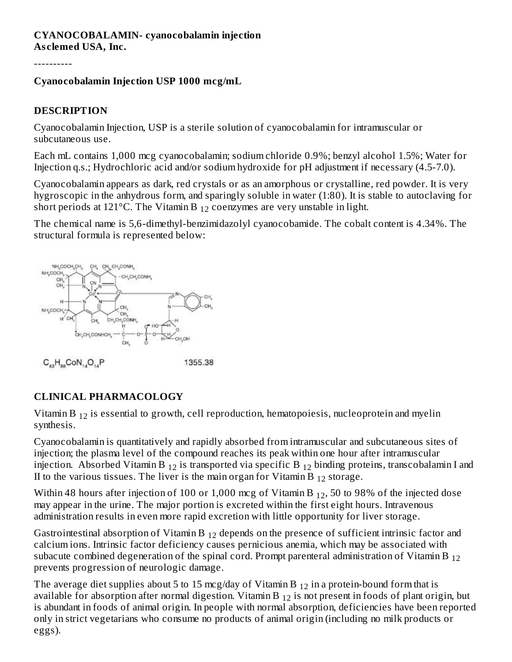#### **CYANOCOBALAMIN- cyanocobalamin injection As clemed USA, Inc.**

----------

### **Cyanocobalamin Injection USP 1000 mcg/mL**

## **DESCRIPTION**

Cyanocobalamin Injection, USP is a sterile solution of cyanocobalamin for intramuscular or subcutaneous use.

Each mL contains 1,000 mcg cyanocobalamin; sodium chloride 0.9%; benzyl alcohol 1.5%; Water for Injection q.s.; Hydrochloric acid and/or sodium hydroxide for pH adjustment if necessary (4.5-7.0).

Cyanocobalamin appears as dark, red crystals or as an amorphous or crystalline, red powder. It is very hygroscopic in the anhydrous form, and sparingly soluble in water (1:80). It is stable to autoclaving for short periods at 121°C. The Vitamin B  $_{12}$  coenzymes are very unstable in light.

The chemical name is 5,6-dimethyl-benzimidazolyl cyanocobamide. The cobalt content is 4.34%. The structural formula is represented below:



 $C_{63}H_{ss}CoN_{14}O_{14}P$ 1355.38

## **CLINICAL PHARMACOLOGY**

Vitamin B  $_{12}$  is essential to growth, cell reproduction, hematopoiesis, nucleoprotein and myelin synthesis.

Cyanocobalamin is quantitatively and rapidly absorbed from intramuscular and subcutaneous sites of injection; the plasma level of the compound reaches its peak within one hour after intramuscular injection. Absorbed Vitamin B  $_{12}$  is transported via specific B  $_{12}$  binding proteins, transcobalamin I and II to the various tissues. The liver is the main organ for Vitamin B  $_{12}$  storage.

Within 48 hours after injection of 100 or 1,000 mcg of Vitamin B  $_{12}$ , 50 to 98% of the injected dose may appear in the urine. The major portion is excreted within the first eight hours. Intravenous administration results in even more rapid excretion with little opportunity for liver storage.

Gastrointestinal absorption of Vitamin B  $_{12}$  depends on the presence of sufficient intrinsic factor and calcium ions. Intrinsic factor deficiency causes pernicious anemia, which may be associated with subacute combined degeneration of the spinal cord. Prompt parenteral administration of Vitamin B  $_{12}$ prevents progression of neurologic damage.

The average diet supplies about 5 to 15 mcg/day of Vitamin B  $_{12}$  in a protein-bound form that is available for absorption after normal digestion. Vitamin B  $_{12}$  is not present in foods of plant origin, but is abundant in foods of animal origin. In people with normal absorption, deficiencies have been reported only in strict vegetarians who consume no products of animal origin (including no milk products or eggs).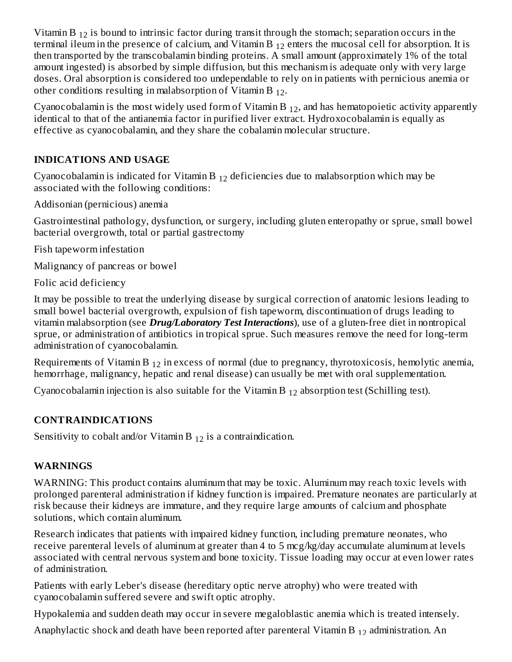Vitamin B  $_{12}$  is bound to intrinsic factor during transit through the stomach; separation occurs in the terminal ileum in the presence of calcium, and Vitamin B  $_{12}$  enters the mucosal cell for absorption. It is then transported by the transcobalamin binding proteins. A small amount (approximately 1% of the total amount ingested) is absorbed by simple diffusion, but this mechanism is adequate only with very large doses. Oral absorption is considered too undependable to rely on in patients with pernicious anemia or other conditions resulting in malabsorption of Vitamin B  $_{12}$ .

Cyanocobalamin is the most widely used form of Vitamin B  $_{12}$ , and has hematopoietic activity apparently identical to that of the antianemia factor in purified liver extract. Hydroxocobalamin is equally as effective as cyanocobalamin, and they share the cobalamin molecular structure.

### **INDICATIONS AND USAGE**

Cyanocobalamin is indicated for Vitamin B  $_{12}$  deficiencies due to malabsorption which may be associated with the following conditions:

Addisonian (pernicious) anemia

Gastrointestinal pathology, dysfunction, or surgery, including gluten enteropathy or sprue, small bowel bacterial overgrowth, total or partial gastrectomy

Fish tapeworm infestation

Malignancy of pancreas or bowel

Folic acid deficiency

It may be possible to treat the underlying disease by surgical correction of anatomic lesions leading to small bowel bacterial overgrowth, expulsion of fish tapeworm, discontinuation of drugs leading to vitamin malabsorption (see *Drug/Laboratory Test Interactions*), use of a gluten-free diet in nontropical sprue, or administration of antibiotics in tropical sprue. Such measures remove the need for long-term administration of cyanocobalamin.

Requirements of Vitamin B  $_{12}$  in excess of normal (due to pregnancy, thyrotoxicosis, hemolytic anemia, hemorrhage, malignancy, hepatic and renal disease) can usually be met with oral supplementation.

Cyanocobalamin injection is also suitable for the Vitamin B  $_{12}$  absorption test (Schilling test).

#### **CONTRAINDICATIONS**

Sensitivity to cobalt and/or Vitamin B  $_{12}$  is a contraindication.

#### **WARNINGS**

WARNING: This product contains aluminum that may be toxic. Aluminum may reach toxic levels with prolonged parenteral administration if kidney function is impaired. Premature neonates are particularly at risk because their kidneys are immature, and they require large amounts of calcium and phosphate solutions, which contain aluminum.

Research indicates that patients with impaired kidney function, including premature neonates, who receive parenteral levels of aluminum at greater than 4 to 5 mcg/kg/day accumulate aluminum at levels associated with central nervous system and bone toxicity. Tissue loading may occur at even lower rates of administration.

Patients with early Leber's disease (hereditary optic nerve atrophy) who were treated with cyanocobalamin suffered severe and swift optic atrophy.

Hypokalemia and sudden death may occur in severe megaloblastic anemia which is treated intensely.

Anaphylactic shock and death have been reported after parenteral Vitamin B  $_{12}$  administration. An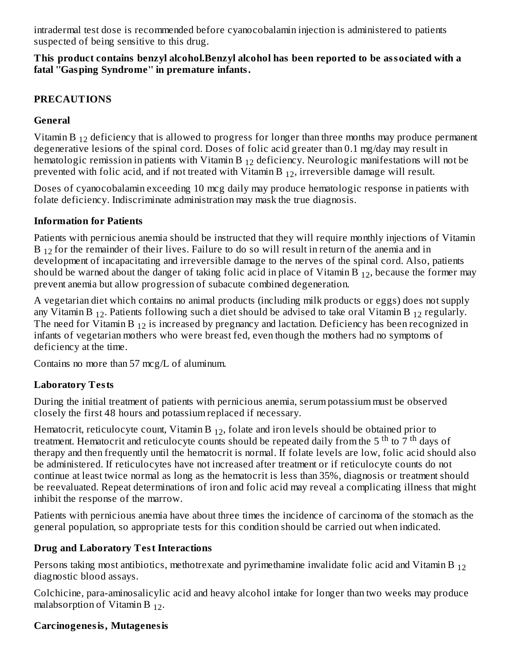intradermal test dose is recommended before cyanocobalamin injection is administered to patients suspected of being sensitive to this drug.  $\overline{a}$ 

#### **This product contains benzyl alcohol.Benzyl alcohol has been reported to be associated with a fatal ''Gasping Syndrome'' in premature infants.**

#### **PRECAUTIONS**

### **General**

Vitamin B  $_{12}$  deficiency that is allowed to progress for longer than three months may produce permanent degenerative lesions of the spinal cord. Doses of folic acid greater than 0.1 mg/day may result in hematologic remission in patients with Vitamin B  $_{12}$  deficiency. Neurologic manifestations will not be prevented with folic acid, and if not treated with Vitamin B  $_{12}$ , irreversible damage will result.

Doses of cyanocobalamin exceeding 10 mcg daily may produce hematologic response in patients with folate deficiency. Indiscriminate administration may mask the true diagnosis.

### **Information for Patients**

Patients with pernicious anemia should be instructed that they will require monthly injections of Vitamin  $B_{12}$  for the remainder of their lives. Failure to do so will result in return of the anemia and in development of incapacitating and irreversible damage to the nerves of the spinal cord. Also, patients should be warned about the danger of taking folic acid in place of Vitamin B  $_{12}$ , because the former may prevent anemia but allow progression of subacute combined degeneration.

A vegetarian diet which contains no animal products (including milk products or eggs) does not supply any Vitamin B  $_{12}$ . Patients following such a diet should be advised to take oral Vitamin B  $_{12}$  regularly. The need for Vitamin B  $_{12}$  is increased by pregnancy and lactation. Deficiency has been recognized in infants of vegetarian mothers who were breast fed, even though the mothers had no symptoms of deficiency at the time.

Contains no more than 57 mcg/L of aluminum.

## **Laboratory Tests**

During the initial treatment of patients with pernicious anemia, serum potassium must be observed closely the first 48 hours and potassium replaced if necessary.

Hematocrit, reticulocyte count, Vitamin B  $_{12}$ , folate and iron levels should be obtained prior to treatment. Hematocrit and reticulocyte counts should be repeated daily from the 5<sup>th</sup> to  $\overline{7}$ <sup>th</sup> days of therapy and then frequently until the hematocrit is normal. If folate levels are low, folic acid should also be administered. If reticulocytes have not increased after treatment or if reticulocyte counts do not continue at least twice normal as long as the hematocrit is less than 35%, diagnosis or treatment should be reevaluated. Repeat determinations of iron and folic acid may reveal a complicating illness that might inhibit the response of the marrow.

Patients with pernicious anemia have about three times the incidence of carcinoma of the stomach as the general population, so appropriate tests for this condition should be carried out when indicated.

## **Drug and Laboratory Test Interactions**

Persons taking most antibiotics, methotrexate and pyrimethamine invalidate folic acid and Vitamin B  $_{12}$ diagnostic blood assays.

Colchicine, para-aminosalicylic acid and heavy alcohol intake for longer than two weeks may produce malabsorption of Vitamin B  $_{12}$ .

## **Carcinogenesis, Mutagenesis**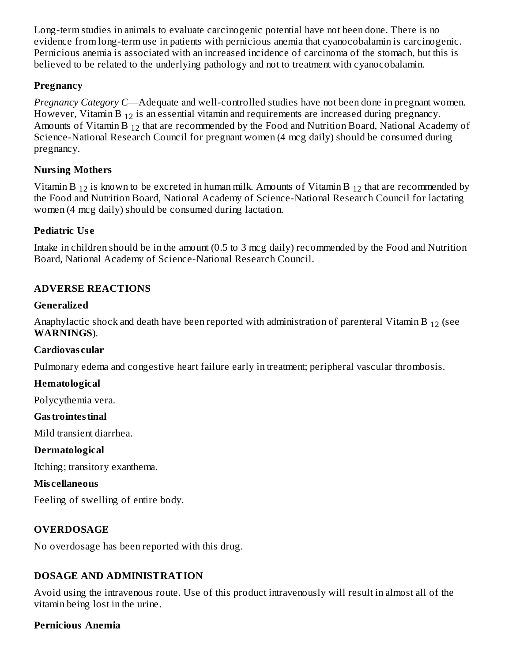Long-term studies in animals to evaluate carcinogenic potential have not been done. There is no evidence from long-term use in patients with pernicious anemia that cyanocobalamin is carcinogenic. Pernicious anemia is associated with an increased incidence of carcinoma of the stomach, but this is believed to be related to the underlying pathology and not to treatment with cyanocobalamin.

#### **Pregnancy**

*Pregnancy Category C*—Adequate and well-controlled studies have not been done in pregnant women. However, Vitamin B  $_{12}$  is an essential vitamin and requirements are increased during pregnancy. Amounts of Vitamin B  $_{12}$  that are recommended by the Food and Nutrition Board, National Academy of Science-National Research Council for pregnant women (4 mcg daily) should be consumed during pregnancy.

### **Nursing Mothers**

Vitamin B  $_{12}$  is known to be excreted in human milk. Amounts of Vitamin B  $_{12}$  that are recommended by the Food and Nutrition Board, National Academy of Science-National Research Council for lactating women (4 mcg daily) should be consumed during lactation.

### **Pediatric Us e**

Intake in children should be in the amount (0.5 to 3 mcg daily) recommended by the Food and Nutrition Board, National Academy of Science-National Research Council.

## **ADVERSE REACTIONS**

#### **Generalized**

Anaphylactic shock and death have been reported with administration of parenteral Vitamin B  $_{12}$  (see **WARNINGS**).

#### **Cardiovas cular**

Pulmonary edema and congestive heart failure early in treatment; peripheral vascular thrombosis.

#### **Hematological**

Polycythemia vera.

#### **Gastrointestinal**

Mild transient diarrhea.

#### **Dermatological**

Itching; transitory exanthema.

#### **Mis cellaneous**

Feeling of swelling of entire body.

## **OVERDOSAGE**

No overdosage has been reported with this drug.

#### **DOSAGE AND ADMINISTRATION**

Avoid using the intravenous route. Use of this product intravenously will result in almost all of the vitamin being lost in the urine.

#### **Pernicious Anemia**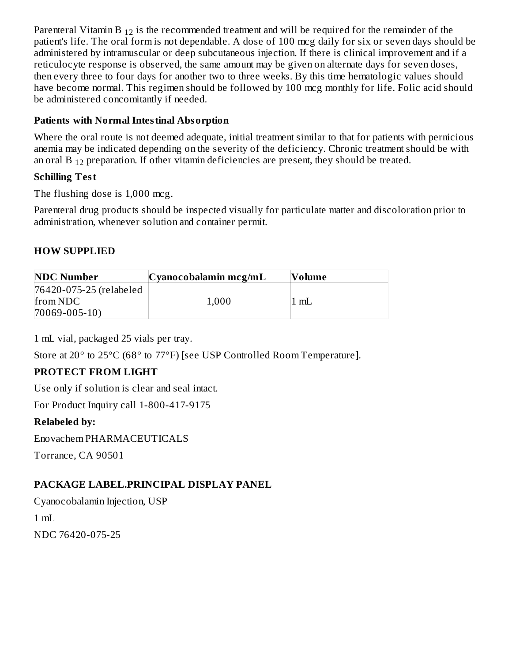Parenteral Vitamin B  $_{12}$  is the recommended treatment and will be required for the remainder of the patient's life. The oral form is not dependable. A dose of 100 mcg daily for six or seven days should be administered by intramuscular or deep subcutaneous injection. If there is clinical improvement and if a reticulocyte response is observed, the same amount may be given on alternate days for seven doses, then every three to four days for another two to three weeks. By this time hematologic values should have become normal. This regimen should be followed by 100 mcg monthly for life. Folic acid should be administered concomitantly if needed.

#### **Patients with Normal Intestinal Absorption**

Where the oral route is not deemed adequate, initial treatment similar to that for patients with pernicious anemia may be indicated depending on the severity of the deficiency. Chronic treatment should be with an oral B  $_{12}$  preparation. If other vitamin deficiencies are present, they should be treated.

### **Schilling Test**

The flushing dose is 1,000 mcg.

Parenteral drug products should be inspected visually for particulate matter and discoloration prior to administration, whenever solution and container permit.

### **HOW SUPPLIED**

| <b>NDC Number</b>       | Cyanocobalamin mcg/mL | Volume |
|-------------------------|-----------------------|--------|
| 76420-075-25 (relabeled |                       |        |
| from NDC                | 1,000                 | mL     |
| $70069 - 005 - 10$      |                       |        |

1 mL vial, packaged 25 vials per tray.

Store at 20° to 25°C (68° to 77°F) [see USP Controlled Room Temperature].

## **PROTECT FROM LIGHT**

Use only if solution is clear and seal intact.

For Product Inquiry call 1-800-417-9175

## **Relabeled by:**

Enovachem PHARMACEUTICALS

Torrance, CA 90501

## **PACKAGE LABEL.PRINCIPAL DISPLAY PANEL**

Cyanocobalamin Injection, USP 1 mL NDC 76420-075-25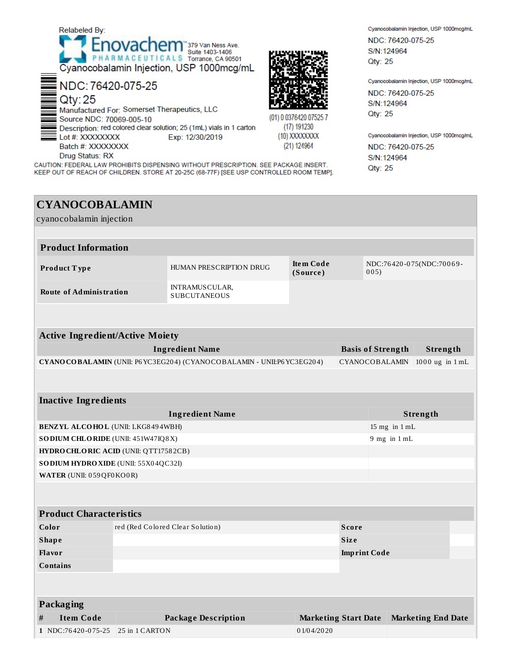

# **CYANOCOBALAMIN**

| cyanocobalamin injection                                                   |  |                                              |                              |                                |                                  |          |  |
|----------------------------------------------------------------------------|--|----------------------------------------------|------------------------------|--------------------------------|----------------------------------|----------|--|
|                                                                            |  |                                              |                              |                                |                                  |          |  |
| <b>Product Information</b>                                                 |  |                                              |                              |                                |                                  |          |  |
| Product Type                                                               |  | HUMAN PRESCRIPTION DRUG                      | <b>Item Code</b><br>(Source) |                                | NDC:76420-075(NDC:70069-<br>005) |          |  |
| <b>Route of Administration</b>                                             |  | <b>INTRAMUSCULAR,</b><br><b>SUBCUTANEOUS</b> |                              |                                |                                  |          |  |
|                                                                            |  |                                              |                              |                                |                                  |          |  |
| <b>Active Ingredient/Active Moiety</b>                                     |  |                                              |                              |                                |                                  |          |  |
| <b>Ingredient Name</b>                                                     |  |                                              |                              | <b>Basis of Strength</b>       | Strength                         |          |  |
| CYANO CO BALAMIN (UNII: P6 YC3EG204) (CYANO CO BALAMIN - UNII:P6 YC3EG204) |  |                                              |                              | CYANOCOBALAMIN 1000 ug in 1 mL |                                  |          |  |
|                                                                            |  |                                              |                              |                                |                                  |          |  |
| <b>Inactive Ingredients</b>                                                |  |                                              |                              |                                |                                  |          |  |
|                                                                            |  | <b>Ingredient Name</b>                       |                              |                                |                                  | Strength |  |
| <b>BENZYL ALCOHOL (UNII: LKG8494WBH)</b>                                   |  |                                              |                              | 15 mg in 1 mL                  |                                  |          |  |
| SO DIUM CHLORIDE (UNII: 451W47IQ8X)                                        |  |                                              |                              | $9$ mg in $1$ mL               |                                  |          |  |
| HYDRO CHLORIC ACID (UNII: QTT17582CB)                                      |  |                                              |                              |                                |                                  |          |  |
| SO DIUM HYDRO XIDE (UNII: 55X04QC32I)                                      |  |                                              |                              |                                |                                  |          |  |
| WATER (UNII: 059QF0KO0R)                                                   |  |                                              |                              |                                |                                  |          |  |
|                                                                            |  |                                              |                              |                                |                                  |          |  |
| <b>Product Characteristics</b>                                             |  |                                              |                              |                                |                                  |          |  |
| Color                                                                      |  | red (Red Colored Clear Solution)             |                              | <b>Score</b>                   |                                  |          |  |
| <b>Shape</b>                                                               |  |                                              |                              | <b>Size</b>                    |                                  |          |  |
| Flavor                                                                     |  |                                              |                              |                                | <b>Imprint Code</b>              |          |  |
| <b>Contains</b>                                                            |  |                                              |                              |                                |                                  |          |  |
|                                                                            |  |                                              |                              |                                |                                  |          |  |

Packaging **Item Code Package Description Marketing Start Date Marketing End Date**  $#$ 1 NDC:76420-075-25 25 in 1 CARTON 01/04/2020

Cyanocobalamin Injection, USP 1000mcg/mL NDC: 76420-075-25 S/N:124964 Qty: 25

Cyanocobalamin Injection, USP 1000mcg/mL

NDC: 76420-075-25 S/N:124964 Qty: 25

Cyanocobalamin Injection, USP 1000mcg/mL NDC: 76420-075-25 S/N:124964 Qty: 25